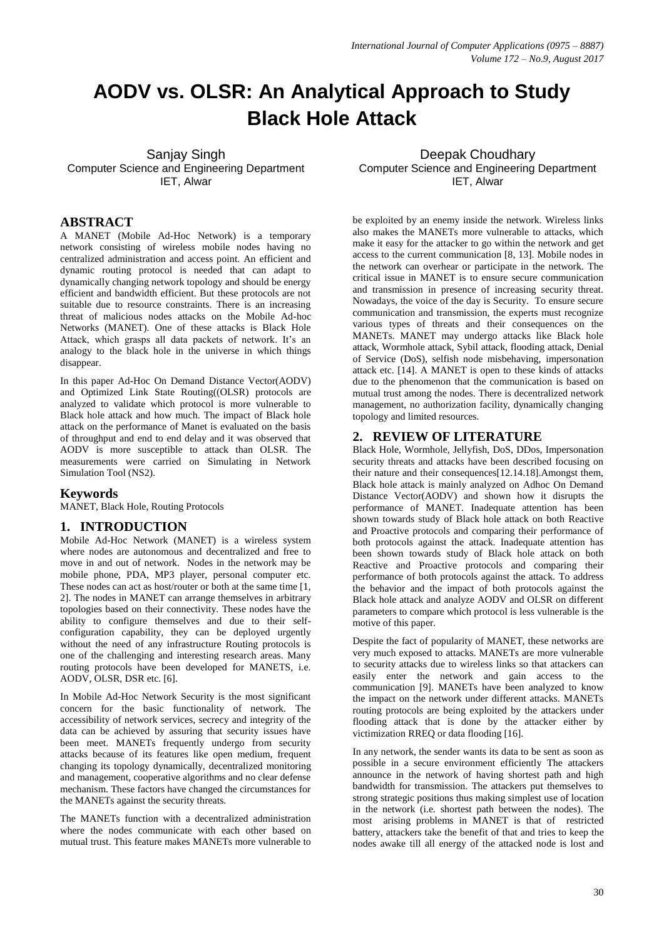# **AODV vs. OLSR: An Analytical Approach to Study Black Hole Attack**

Sanjay Singh Computer Science and Engineering Department IET, Alwar

Deepak Choudhary Computer Science and Engineering Department IET, Alwar

# **ABSTRACT**

A MANET (Mobile Ad-Hoc Network) is a temporary network consisting of wireless mobile nodes having no centralized administration and access point. An efficient and dynamic routing protocol is needed that can adapt to dynamically changing network topology and should be energy efficient and bandwidth efficient. But these protocols are not suitable due to resource constraints. There is an increasing threat of malicious nodes attacks on the Mobile Ad-hoc Networks (MANET). One of these attacks is Black Hole Attack, which grasps all data packets of network. It's an analogy to the black hole in the universe in which things disappear.

In this paper Ad-Hoc On Demand Distance Vector(AODV) and Optimized Link State Routing((OLSR) protocols are analyzed to validate which protocol is more vulnerable to Black hole attack and how much. The impact of Black hole attack on the performance of Manet is evaluated on the basis of throughput and end to end delay and it was observed that AODV is more susceptible to attack than OLSR. The measurements were carried on Simulating in Network Simulation Tool (NS2).

## **Keywords**

MANET, Black Hole, Routing Protocols

## **1. INTRODUCTION**

Mobile Ad-Hoc Network (MANET) is a wireless system where nodes are autonomous and decentralized and free to move in and out of network. Nodes in the network may be mobile phone, PDA, MP3 player, personal computer etc. These nodes can act as host/router or both at the same time [1, 2]. The nodes in MANET can arrange themselves in arbitrary topologies based on their connectivity. These nodes have the ability to configure themselves and due to their selfconfiguration capability, they can be deployed urgently without the need of any infrastructure Routing protocols is one of the challenging and interesting research areas. Many routing protocols have been developed for MANETS, i.e. AODV, OLSR, DSR etc. [6].

In Mobile Ad-Hoc Network Security is the most significant concern for the basic functionality of network. The accessibility of network services, secrecy and integrity of the data can be achieved by assuring that security issues have been meet. MANETs frequently undergo from security attacks because of its features like open medium, frequent changing its topology dynamically, decentralized monitoring and management, cooperative algorithms and no clear defense mechanism. These factors have changed the circumstances for the MANETs against the security threats.

The MANETs function with a decentralized administration where the nodes communicate with each other based on mutual trust. This feature makes MANETs more vulnerable to

be exploited by an enemy inside the network. Wireless links also makes the MANETs more vulnerable to attacks, which make it easy for the attacker to go within the network and get access to the current communication [8, 13]. Mobile nodes in the network can overhear or participate in the network. The critical issue in MANET is to ensure secure communication and transmission in presence of increasing security threat. Nowadays, the voice of the day is Security. To ensure secure communication and transmission, the experts must recognize various types of threats and their consequences on the MANETs. MANET may undergo attacks like Black hole attack, Wormhole attack, Sybil attack, flooding attack, Denial of Service (DoS), selfish node misbehaving, impersonation attack etc. [14]. A MANET is open to these kinds of attacks due to the phenomenon that the communication is based on mutual trust among the nodes. There is decentralized network management, no authorization facility, dynamically changing topology and limited resources.

## **2. REVIEW OF LITERATURE**

Black Hole, Wormhole, Jellyfish, DoS, DDos, Impersonation security threats and attacks have been described focusing on their nature and their consequences[12.14.18].Amongst them, Black hole attack is mainly analyzed on Adhoc On Demand Distance Vector(AODV) and shown how it disrupts the performance of MANET. Inadequate attention has been shown towards study of Black hole attack on both Reactive and Proactive protocols and comparing their performance of both protocols against the attack. Inadequate attention has been shown towards study of Black hole attack on both Reactive and Proactive protocols and comparing their performance of both protocols against the attack. To address the behavior and the impact of both protocols against the Black hole attack and analyze AODV and OLSR on different parameters to compare which protocol is less vulnerable is the motive of this paper.

Despite the fact of popularity of MANET, these networks are very much exposed to attacks. MANETs are more vulnerable to security attacks due to wireless links so that attackers can easily enter the network and gain access to the communication [9]. MANETs have been analyzed to know the impact on the network under different attacks. MANETs routing protocols are being exploited by the attackers under flooding attack that is done by the attacker either by victimization RREQ or data flooding [16].

In any network, the sender wants its data to be sent as soon as possible in a secure environment efficiently The attackers announce in the network of having shortest path and high bandwidth for transmission. The attackers put themselves to strong strategic positions thus making simplest use of location in the network (i.e. shortest path between the nodes). The most arising problems in MANET is that of restricted battery, attackers take the benefit of that and tries to keep the nodes awake till all energy of the attacked node is lost and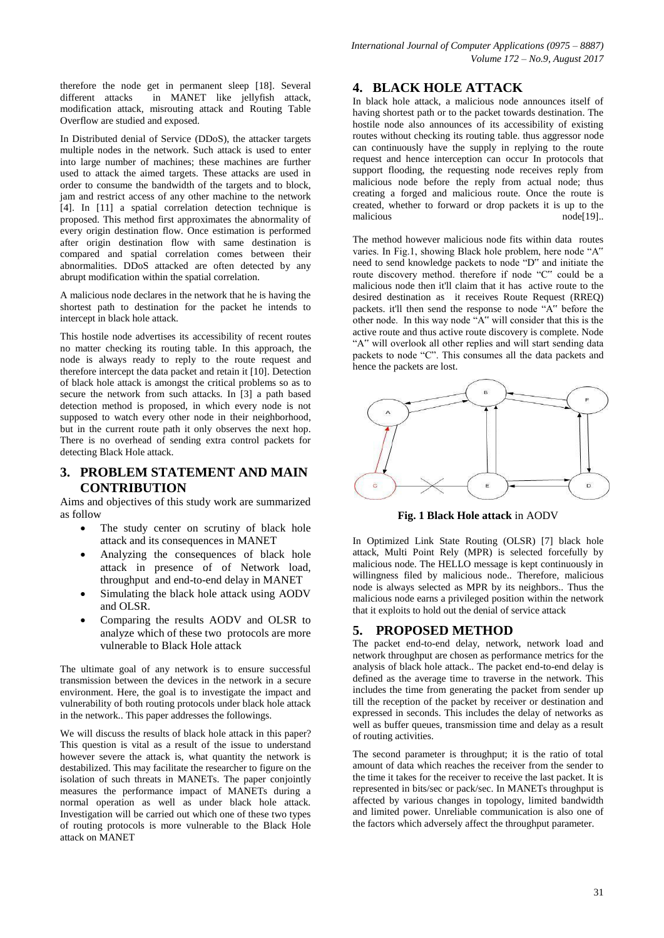*International Journal of Computer Applications (0975 – 8887) Volume 172 – No.9, August 2017*

therefore the node get in permanent sleep [18]. Several different attacks in MANET like jellyfish attack, modification attack, misrouting attack and Routing Table Overflow are studied and exposed.

In Distributed denial of Service (DDoS), the attacker targets multiple nodes in the network. Such attack is used to enter into large number of machines; these machines are further used to attack the aimed targets. These attacks are used in order to consume the bandwidth of the targets and to block, jam and restrict access of any other machine to the network [4]. In [11] a spatial correlation detection technique is proposed. This method first approximates the abnormality of every origin destination flow. Once estimation is performed after origin destination flow with same destination is compared and spatial correlation comes between their abnormalities. DDoS attacked are often detected by any abrupt modification within the spatial correlation.

A malicious node declares in the network that he is having the shortest path to destination for the packet he intends to intercept in black hole attack.

This hostile node advertises its accessibility of recent routes no matter checking its routing table. In this approach, the node is always ready to reply to the route request and therefore intercept the data packet and retain it [10]. Detection of black hole attack is amongst the critical problems so as to secure the network from such attacks. In [3] a path based detection method is proposed, in which every node is not supposed to watch every other node in their neighborhood, but in the current route path it only observes the next hop. There is no overhead of sending extra control packets for detecting Black Hole attack.

## **3. PROBLEM STATEMENT AND MAIN CONTRIBUTION**

Aims and objectives of this study work are summarized as follow

- The study center on scrutiny of black hole attack and its consequences in MANET
- Analyzing the consequences of black hole attack in presence of of Network load, throughput and end-to-end delay in MANET
- Simulating the black hole attack using AODV and OLSR.
- Comparing the results AODV and OLSR to analyze which of these two protocols are more vulnerable to Black Hole attack

The ultimate goal of any network is to ensure successful transmission between the devices in the network in a secure environment. Here, the goal is to investigate the impact and vulnerability of both routing protocols under black hole attack in the network.. This paper addresses the followings.

We will discuss the results of black hole attack in this paper? This question is vital as a result of the issue to understand however severe the attack is, what quantity the network is destabilized. This may facilitate the researcher to figure on the isolation of such threats in MANETs. The paper conjointly measures the performance impact of MANETs during a normal operation as well as under black hole attack. Investigation will be carried out which one of these two types of routing protocols is more vulnerable to the Black Hole attack on MANET

## **4. BLACK HOLE ATTACK**

In black hole attack, a malicious node announces itself of having shortest path or to the packet towards destination. The hostile node also announces of its accessibility of existing routes without checking its routing table. thus aggressor node can continuously have the supply in replying to the route request and hence interception can occur In protocols that support flooding, the requesting node receives reply from malicious node before the reply from actual node; thus creating a forged and malicious route. Once the route is created, whether to forward or drop packets it is up to the malicious node[19]...

The method however malicious node fits within data routes varies. In Fig.1, showing Black hole problem, here node "A" need to send knowledge packets to node "D" and initiate the route discovery method. therefore if node "C" could be a malicious node then it'll claim that it has active route to the desired destination as it receives Route Request (RREQ) packets. it'll then send the response to node "A" before the other node. In this way node "A" will consider that this is the active route and thus active route discovery is complete. Node "A" will overlook all other replies and will start sending data packets to node "C". This consumes all the data packets and hence the packets are lost.



**Fig. 1 Black Hole attack** in AODV

In Optimized Link State Routing (OLSR) [7] black hole attack, Multi Point Rely (MPR) is selected forcefully by malicious node. The HELLO message is kept continuously in willingness filed by malicious node.. Therefore, malicious node is always selected as MPR by its neighbors.. Thus the malicious node earns a privileged position within the network that it exploits to hold out the denial of service attack

## **5. PROPOSED METHOD**

The packet end-to-end delay, network, network load and network throughput are chosen as performance metrics for the analysis of black hole attack.. The packet end-to-end delay is defined as the average time to traverse in the network. This includes the time from generating the packet from sender up till the reception of the packet by receiver or destination and expressed in seconds. This includes the delay of networks as well as buffer queues, transmission time and delay as a result of routing activities.

The second parameter is throughput; it is the ratio of total amount of data which reaches the receiver from the sender to the time it takes for the receiver to receive the last packet. It is represented in bits/sec or pack/sec. In MANETs throughput is affected by various changes in topology, limited bandwidth and limited power. Unreliable communication is also one of the factors which adversely affect the throughput parameter.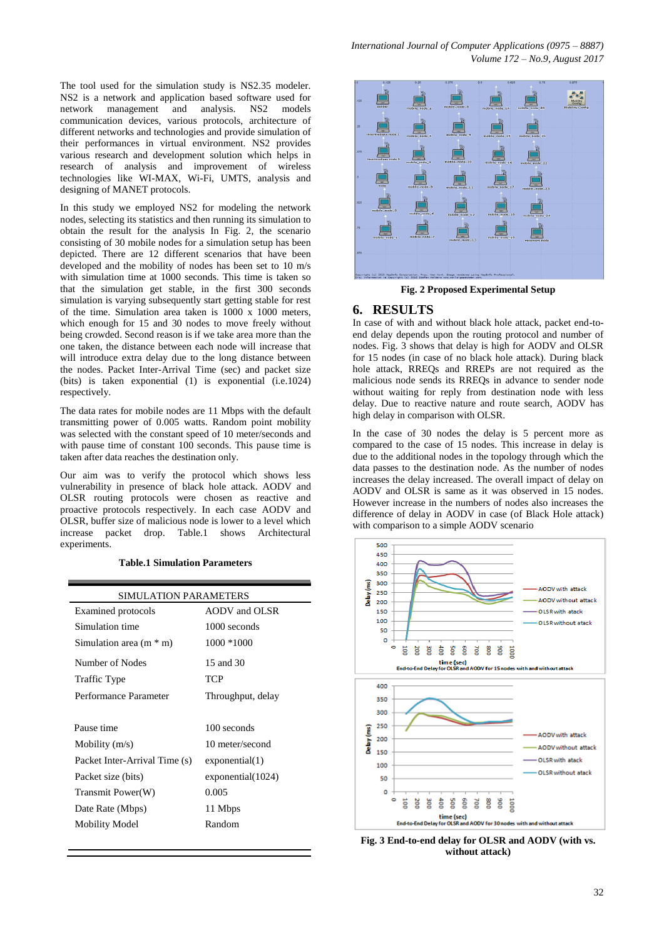The tool used for the simulation study is NS2.35 modeler. NS2 is a network and application based software used for network management and analysis. NS2 models communication devices, various protocols, architecture of different networks and technologies and provide simulation of their performances in virtual environment. NS2 provides various research and development solution which helps in research of analysis and improvement of wireless technologies like WI-MAX, Wi-Fi, UMTS, analysis and designing of MANET protocols.

In this study we employed NS2 for modeling the network nodes, selecting its statistics and then running its simulation to obtain the result for the analysis In Fig. 2, the scenario consisting of 30 mobile nodes for a simulation setup has been depicted. There are 12 different scenarios that have been developed and the mobility of nodes has been set to 10 m/s with simulation time at 1000 seconds. This time is taken so that the simulation get stable, in the first 300 seconds simulation is varying subsequently start getting stable for rest of the time. Simulation area taken is 1000 x 1000 meters, which enough for 15 and 30 nodes to move freely without being crowded. Second reason is if we take area more than the one taken, the distance between each node will increase that will introduce extra delay due to the long distance between the nodes. Packet Inter-Arrival Time (sec) and packet size (bits) is taken exponential (1) is exponential (i.e.1024) respectively.

The data rates for mobile nodes are 11 Mbps with the default transmitting power of 0.005 watts. Random point mobility was selected with the constant speed of 10 meter/seconds and with pause time of constant 100 seconds. This pause time is taken after data reaches the destination only.

Our aim was to verify the protocol which shows less vulnerability in presence of black hole attack. AODV and OLSR routing protocols were chosen as reactive and proactive protocols respectively. In each case AODV and OLSR, buffer size of malicious node is lower to a level which increase packet drop. Table.1 shows Architectural experiments.

#### **Table.1 Simulation Parameters**

| SIMULATION PARAMETERS         |                   |
|-------------------------------|-------------------|
| Examined protocols            | AODV and OLSR     |
| Simulation time               | 1000 seconds      |
| Simulation area $(m * m)$     | 1000 *1000        |
| Number of Nodes               | 15 and 30         |
| Traffic Type                  | TCP               |
| Performance Parameter         | Throughput, delay |
|                               |                   |
| Pause time                    | 100 seconds       |
| Mobility $(m/s)$              | 10 meter/second   |
| Packet Inter-Arrival Time (s) | exponential(1)    |
| Packet size (bits)            | exponential(1024) |
| Transmit Power(W)             | 0.005             |
| Date Rate (Mbps)              | 11 Mbps           |
| <b>Mobility Model</b>         | Random            |
|                               |                   |



**Fig. 2 Proposed Experimental Setup**

#### **6. RESULTS**

In case of with and without black hole attack, packet end-toend delay depends upon the routing protocol and number of nodes. Fig. 3 shows that delay is high for AODV and OLSR for 15 nodes (in case of no black hole attack). During black hole attack, RREQs and RREPs are not required as the malicious node sends its RREQs in advance to sender node without waiting for reply from destination node with less delay. Due to reactive nature and route search, AODV has high delay in comparison with OLSR.

In the case of 30 nodes the delay is 5 percent more as compared to the case of 15 nodes. This increase in delay is due to the additional nodes in the topology through which the data passes to the destination node. As the number of nodes increases the delay increased. The overall impact of delay on AODV and OLSR is same as it was observed in 15 nodes. However increase in the numbers of nodes also increases the difference of delay in AODV in case (of Black Hole attack) with comparison to a simple AODV scenario



**Fig. 3 End-to-end delay for OLSR and AODV (with vs. without attack)**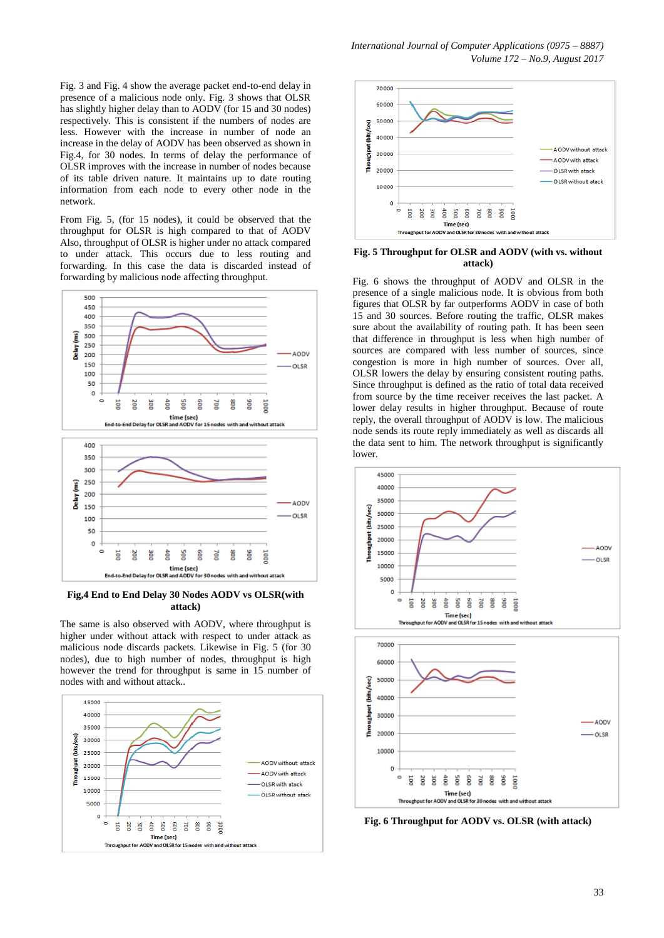Fig. 3 and Fig. 4 show the average packet end-to-end delay in presence of a malicious node only. Fig. 3 shows that OLSR has slightly higher delay than to AODV (for 15 and 30 nodes) respectively. This is consistent if the numbers of nodes are less. However with the increase in number of node an increase in the delay of AODV has been observed as shown in Fig.4, for 30 nodes. In terms of delay the performance of OLSR improves with the increase in number of nodes because of its table driven nature. It maintains up to date routing information from each node to every other node in the network.

From Fig. 5, (for 15 nodes), it could be observed that the throughput for OLSR is high compared to that of AODV Also, throughput of OLSR is higher under no attack compared to under attack. This occurs due to less routing and forwarding. In this case the data is discarded instead of forwarding by malicious node affecting throughput.



**Fig,4 End to End Delay 30 Nodes AODV vs OLSR(with attack)**

The same is also observed with AODV, where throughput is higher under without attack with respect to under attack as malicious node discards packets. Likewise in Fig. 5 (for 30 nodes), due to high number of nodes, throughput is high however the trend for throughput is same in 15 number of nodes with and without attack..





#### **Fig. 5 Throughput for OLSR and AODV (with vs. without attack)**

Fig. 6 shows the throughput of AODV and OLSR in the presence of a single malicious node. It is obvious from both figures that OLSR by far outperforms AODV in case of both 15 and 30 sources. Before routing the traffic, OLSR makes sure about the availability of routing path. It has been seen that difference in throughput is less when high number of sources are compared with less number of sources, since congestion is more in high number of sources. Over all, OLSR lowers the delay by ensuring consistent routing paths. Since throughput is defined as the ratio of total data received from source by the time receiver receives the last packet. A lower delay results in higher throughput. Because of route reply, the overall throughput of AODV is low. The malicious node sends its route reply immediately as well as discards all the data sent to him. The network throughput is significantly lower.



**Fig. 6 Throughput for AODV vs. OLSR (with attack)**